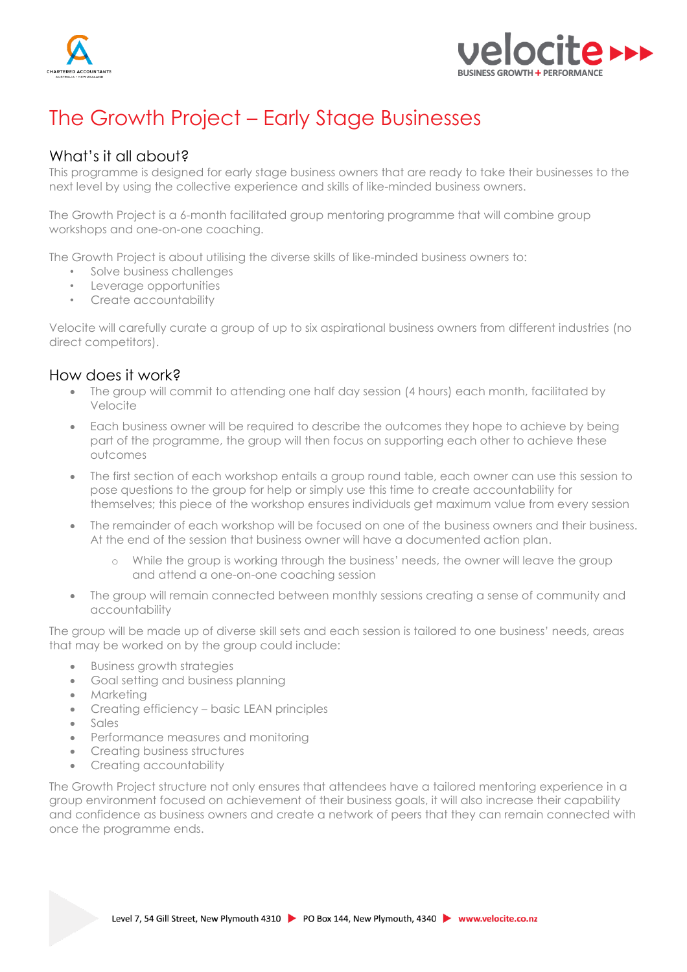



# The Growth Project – Early Stage Businesses

## What's it all about?

This programme is designed for early stage business owners that are ready to take their businesses to the next level by using the collective experience and skills of like-minded business owners.

The Growth Project is a 6-month facilitated group mentoring programme that will combine group workshops and one-on-one coaching.

The Growth Project is about utilising the diverse skills of like-minded business owners to:

- Solve business challenges
- Leverage opportunities
- Create accountability

Velocite will carefully curate a group of up to six aspirational business owners from different industries (no direct competitors).

#### How does it work?

- The group will commit to attending one half day session (4 hours) each month, facilitated by Velocite
- Each business owner will be required to describe the outcomes they hope to achieve by being part of the programme, the group will then focus on supporting each other to achieve these outcomes
- The first section of each workshop entails a group round table, each owner can use this session to pose questions to the group for help or simply use this time to create accountability for themselves; this piece of the workshop ensures individuals get maximum value from every session
- The remainder of each workshop will be focused on one of the business owners and their business. At the end of the session that business owner will have a documented action plan.
	- o While the group is working through the business' needs, the owner will leave the group and attend a one-on-one coaching session
- The group will remain connected between monthly sessions creating a sense of community and accountability

The group will be made up of diverse skill sets and each session is tailored to one business' needs, areas that may be worked on by the group could include:

- Business growth strategies
- Goal setting and business planning
- Marketing
- Creating efficiency basic LEAN principles
- Sales
- Performance measures and monitoring
- Creating business structures
- Creating accountability

The Growth Project structure not only ensures that attendees have a tailored mentoring experience in a group environment focused on achievement of their business goals, it will also increase their capability and confidence as business owners and create a network of peers that they can remain connected with once the programme ends.